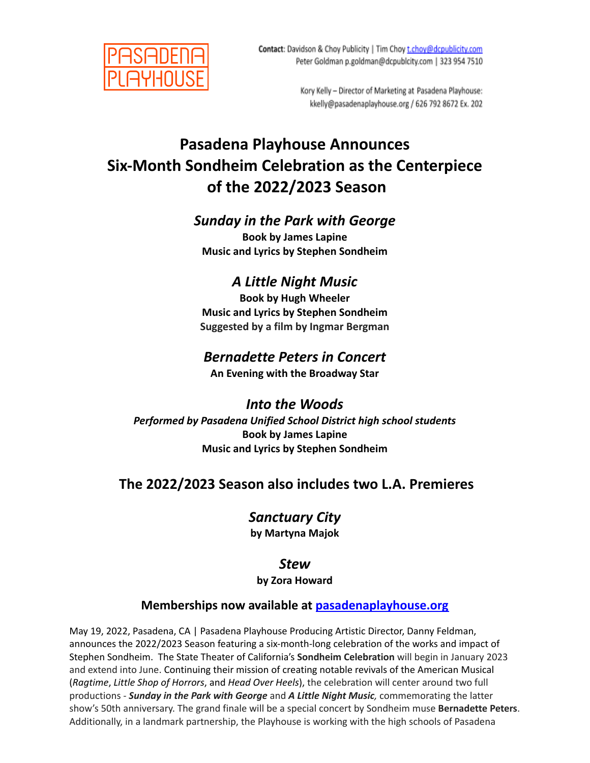

Kory Kelly - Director of Marketing at Pasadena Playhouse: kkelly@pasadenaplayhouse.org / 626 792 8672 Ex. 202

# **Pasadena Playhouse Announces Six-Month Sondheim Celebration as the Centerpiece of the 2022/2023 Season**

### *Sunday in the Park with George*

**Book by James Lapine Music and Lyrics by Stephen Sondheim**

## *A Little Night Music*

**Book by Hugh Wheeler Music and Lyrics by Stephen Sondheim Suggested by a film by Ingmar Bergman**

## *Bernadette Peters in Concert*

**An Evening with the Broadway Star**

## *Into the Woods*

*Performed by Pasadena Unified School District high school students* **Book by James Lapine Music and Lyrics by Stephen Sondheim**

## **The 2022/2023 Season also includes two L.A. Premieres**

## *Sanctuary City*

**by Martyna Majok**

## *Stew*

### **by Zora Howard**

### **Memberships now available at [pasadenaplayhouse.org](http://www.pasadenaplayhouse.org)**

May 19, 2022, Pasadena, CA | Pasadena Playhouse Producing Artistic Director, Danny Feldman, announces the 2022/2023 Season featuring a six-month-long celebration of the works and impact of Stephen Sondheim. The State Theater of California's **Sondheim Celebration** will begin in January 2023 and extend into June. Continuing their mission of creating notable revivals of the American Musical (*Ragtime*, *Little Shop of Horrors*, and *Head Over Heels*), the celebration will center around two full productions - *Sunday in the Park with George* and *A Little Night Music,* commemorating the latter show's 50th anniversary. The grand finale will be a special concert by Sondheim muse **Bernadette Peters**. Additionally, in a landmark partnership, the Playhouse is working with the high schools of Pasadena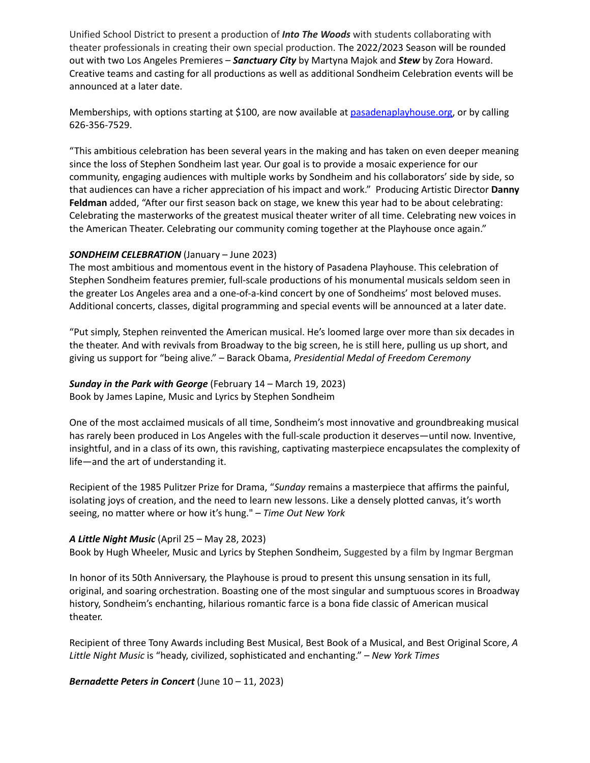Unified School District to present a production of *Into The Woods* with students collaborating with theater professionals in creating their own special production. The 2022/2023 Season will be rounded out with two Los Angeles Premieres – *Sanctuary City* by Martyna Majok and *Stew* by Zora Howard. Creative teams and casting for all productions as well as additional Sondheim Celebration events will be announced at a later date.

Memberships, with options starting at \$100, are now available at [pasadenaplayhouse.org,](http://www.pasadenaplayhouse.org) or by calling 626-356-7529.

"This ambitious celebration has been several years in the making and has taken on even deeper meaning since the loss of Stephen Sondheim last year. Our goal is to provide a mosaic experience for our community, engaging audiences with multiple works by Sondheim and his collaborators' side by side, so that audiences can have a richer appreciation of his impact and work." Producing Artistic Director **Danny Feldman** added, "After our first season back on stage, we knew this year had to be about celebrating: Celebrating the masterworks of the greatest musical theater writer of all time. Celebrating new voices in the American Theater. Celebrating our community coming together at the Playhouse once again."

### *SONDHEIM CELEBRATION* (January – June 2023)

The most ambitious and momentous event in the history of Pasadena Playhouse. This celebration of Stephen Sondheim features premier, full-scale productions of his monumental musicals seldom seen in the greater Los Angeles area and a one-of-a-kind concert by one of Sondheims' most beloved muses. Additional concerts, classes, digital programming and special events will be announced at a later date.

"Put simply, Stephen reinvented the American musical. He's loomed large over more than six decades in the theater. And with revivals from Broadway to the big screen, he is still here, pulling us up short, and giving us support for "being alive." – Barack Obama, *Presidential Medal of Freedom Ceremony*

### *Sunday in the Park with George* (February 14 – March 19, 2023) Book by James Lapine, Music and Lyrics by Stephen Sondheim

One of the most acclaimed musicals of all time, Sondheim's most innovative and groundbreaking musical has rarely been produced in Los Angeles with the full-scale production it deserves—until now. Inventive, insightful, and in a class of its own, this ravishing, captivating masterpiece encapsulates the complexity of life—and the art of understanding it.

Recipient of the 1985 Pulitzer Prize for Drama, "*Sunday* remains a masterpiece that affirms the painful, isolating joys of creation, and the need to learn new lessons. Like a densely plotted canvas, it's worth seeing, no matter where or how it's hung." – *Time Out New York*

### *A Little Night Music* (April 25 – May 28, 2023)

Book by Hugh Wheeler, Music and Lyrics by Stephen Sondheim, Suggested by a film by Ingmar Bergman

In honor of its 50th Anniversary, the Playhouse is proud to present this unsung sensation in its full, original, and soaring orchestration. Boasting one of the most singular and sumptuous scores in Broadway history, Sondheim's enchanting, hilarious romantic farce is a bona fide classic of American musical theater.

Recipient of three Tony Awards including Best Musical, Best Book of a Musical, and Best Original Score, *A Little Night Music* is "heady, civilized, sophisticated and enchanting." – *New York Times*

*Bernadette Peters in Concert* (June 10 – 11, 2023)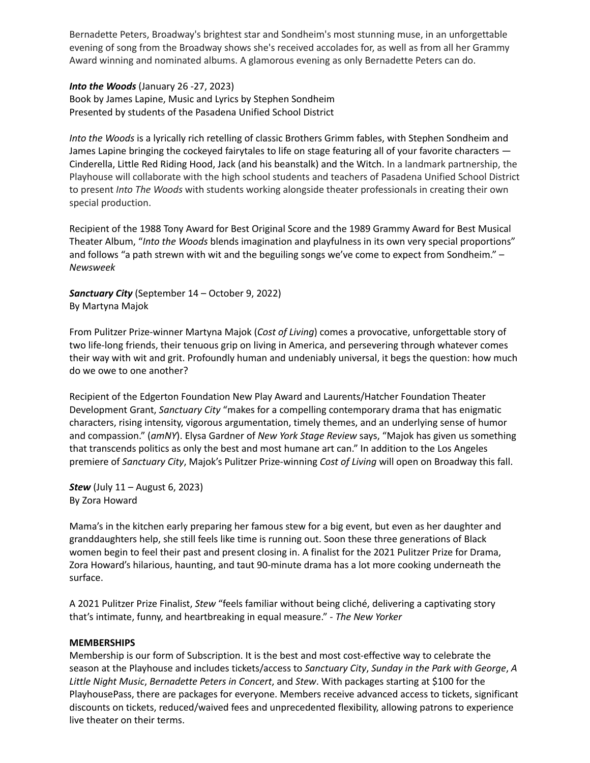Bernadette Peters, Broadway's brightest star and Sondheim's most stunning muse, in an unforgettable evening of song from the Broadway shows she's received accolades for, as well as from all her Grammy Award winning and nominated albums. A glamorous evening as only Bernadette Peters can do.

#### *Into the Woods* (January 26 -27, 2023)

Book by James Lapine, Music and Lyrics by Stephen Sondheim Presented by students of the Pasadena Unified School District

*Into the Woods* is a lyrically rich retelling of classic Brothers Grimm fables, with Stephen Sondheim and James Lapine bringing the cockeyed fairytales to life on stage featuring all of your favorite characters — Cinderella, Little Red Riding Hood, Jack (and his beanstalk) and the Witch. In a landmark partnership, the Playhouse will collaborate with the high school students and teachers of Pasadena Unified School District to present *Into The Woods* with students working alongside theater professionals in creating their own special production.

Recipient of the 1988 Tony Award for Best Original Score and the 1989 Grammy Award for Best Musical Theater Album, "*Into the Woods* blends imagination and playfulness in its own very special proportions" and follows "a path strewn with wit and the beguiling songs we've come to expect from Sondheim." -*Newsweek*

*Sanctuary City* (September 14 – October 9, 2022) By Martyna Majok

From Pulitzer Prize-winner Martyna Majok (*Cost of Living*) comes a provocative, unforgettable story of two life-long friends, their tenuous grip on living in America, and persevering through whatever comes their way with wit and grit. Profoundly human and undeniably universal, it begs the question: how much do we owe to one another?

Recipient of the Edgerton Foundation New Play Award and Laurents/Hatcher Foundation Theater Development Grant, *Sanctuary City* "makes for a compelling contemporary drama that has enigmatic characters, rising intensity, vigorous argumentation, timely themes, and an underlying sense of humor and compassion." (*amNY*). Elysa Gardner of *New York Stage Review* says, "Majok has given us something that transcends politics as only the best and most humane art can." In addition to the Los Angeles premiere of *Sanctuary City*, Majok's Pulitzer Prize-winning *Cost of Living* will open on Broadway this fall.

*Stew* (July 11 – August 6, 2023) By Zora Howard

Mama's in the kitchen early preparing her famous stew for a big event, but even as her daughter and granddaughters help, she still feels like time is running out. Soon these three generations of Black women begin to feel their past and present closing in. A finalist for the 2021 Pulitzer Prize for Drama, Zora Howard's hilarious, haunting, and taut 90-minute drama has a lot more cooking underneath the surface.

A 2021 Pulitzer Prize Finalist, *Stew* "feels familiar without being cliché, delivering a captivating story that's intimate, funny, and heartbreaking in equal measure." - *The New Yorker*

#### **MEMBERSHIPS**

Membership is our form of Subscription. It is the best and most cost-effective way to celebrate the season at the Playhouse and includes tickets/access to *Sanctuary City*, *Sunday in the Park with George*, *A Little Night Music*, *Bernadette Peters in Concert*, and *Stew*. With packages starting at \$100 for the PlayhousePass, there are packages for everyone. Members receive advanced access to tickets, significant discounts on tickets, reduced/waived fees and unprecedented flexibility, allowing patrons to experience live theater on their terms.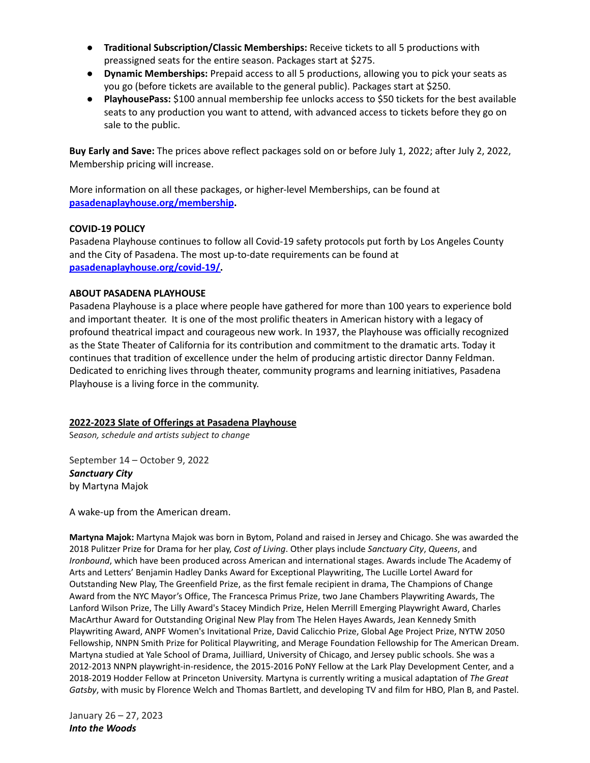- **Traditional Subscription/Classic Memberships:** Receive tickets to all 5 productions with preassigned seats for the entire season. Packages start at \$275.
- **Dynamic Memberships:** Prepaid access to all 5 productions, allowing you to pick your seats as you go (before tickets are available to the general public). Packages start at \$250.
- **PlayhousePass:** \$100 annual membership fee unlocks access to \$50 tickets for the best available seats to any production you want to attend, with advanced access to tickets before they go on sale to the public.

**Buy Early and Save:** The prices above reflect packages sold on or before July 1, 2022; after July 2, 2022, Membership pricing will increase.

More information on all these packages, or higher-level Memberships, can be found at **[pasadenaplayhouse.org/membership.](http://www.pasadenaplayhouse.org/membership)**

### **COVID-19 POLICY**

Pasadena Playhouse continues to follow all Covid-19 safety protocols put forth by Los Angeles County and the City of Pasadena. The most up-to-date requirements can be found at **[pasadenaplayhouse.org/covid-19/.](http://www.pasadenaplayhouse.org/covid-19/)**

### **ABOUT PASADENA PLAYHOUSE**

Pasadena Playhouse is a place where people have gathered for more than 100 years to experience bold and important theater. It is one of the most prolific theaters in American history with a legacy of profound theatrical impact and courageous new work. In 1937, the Playhouse was officially recognized as the State Theater of California for its contribution and commitment to the dramatic arts. Today it continues that tradition of excellence under the helm of producing artistic director Danny Feldman. Dedicated to enriching lives through theater, community programs and learning initiatives, Pasadena Playhouse is a living force in the community.

### **2022-2023 Slate of Offerings at Pasadena Playhouse**

S*eason, schedule and artists subject to change*

September 14 – October 9, 2022 *Sanctuary City* by Martyna Majok

A wake-up from the American dream.

**Martyna Majok:** Martyna Majok was born in Bytom, Poland and raised in Jersey and Chicago. She was awarded the 2018 Pulitzer Prize for Drama for her play, *Cost of Living*. Other plays include *Sanctuary City*, *Queens*, and *Ironbound*, which have been produced across American and international stages. Awards include The Academy of Arts and Letters' Benjamin Hadley Danks Award for Exceptional Playwriting, The Lucille Lortel Award for Outstanding New Play, The Greenfield Prize, as the first female recipient in drama, The Champions of Change Award from the NYC Mayor's Office, The Francesca Primus Prize, two Jane Chambers Playwriting Awards, The Lanford Wilson Prize, The Lilly Award's Stacey Mindich Prize, Helen Merrill Emerging Playwright Award, Charles MacArthur Award for Outstanding Original New Play from The Helen Hayes Awards, Jean Kennedy Smith Playwriting Award, ANPF Women's Invitational Prize, David Calicchio Prize, Global Age Project Prize, NYTW 2050 Fellowship, NNPN Smith Prize for Political Playwriting, and Merage Foundation Fellowship for The American Dream. Martyna studied at Yale School of Drama, Juilliard, University of Chicago, and Jersey public schools. She was a 2012-2013 NNPN playwright-in-residence, the 2015-2016 PoNY Fellow at the Lark Play Development Center, and a 2018-2019 Hodder Fellow at Princeton University. Martyna is currently writing a musical adaptation of *The Great Gatsby*, with music by Florence Welch and Thomas Bartlett, and developing TV and film for HBO, Plan B, and Pastel.

January 26 – 27, 2023 *Into the Woods*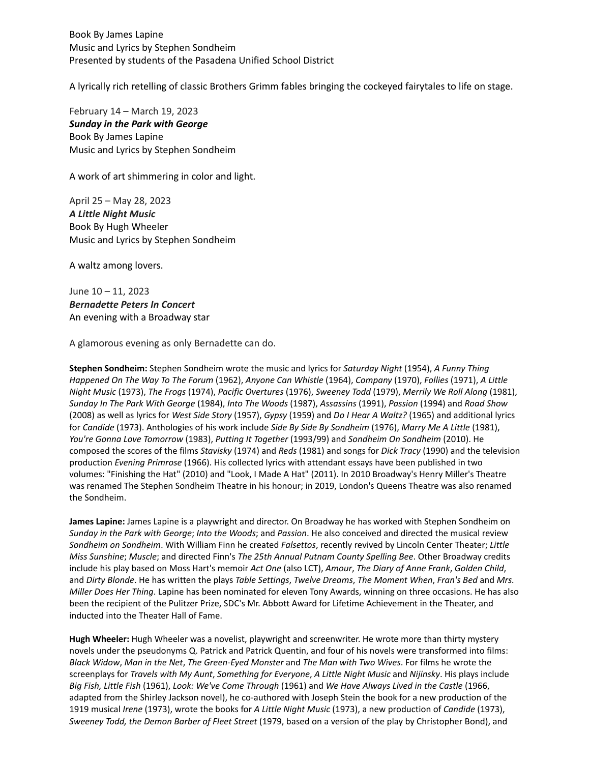Book By James Lapine Music and Lyrics by Stephen Sondheim Presented by students of the Pasadena Unified School District

A lyrically rich retelling of classic Brothers Grimm fables bringing the cockeyed fairytales to life on stage.

February 14 – March 19, 2023 *Sunday in the Park with George* Book By James Lapine Music and Lyrics by Stephen Sondheim

A work of art shimmering in color and light.

April 25 – May 28, 2023 *A Little Night Music* Book By Hugh Wheeler Music and Lyrics by Stephen Sondheim

A waltz among lovers.

June 10 – 11, 2023 *Bernadette Peters In Concert* An evening with a Broadway star

A glamorous evening as only Bernadette can do.

**Stephen Sondheim:** Stephen Sondheim wrote the music and lyrics for *Saturday Night* (1954), *A Funny Thing Happened On The Way To The Forum* (1962), *Anyone Can Whistle* (1964), *Company* (1970), *Follies* (1971), *A Little Night Music* (1973), *The Frogs* (1974), *Pacific Overtures* (1976), *Sweeney Todd* (1979), *Merrily We Roll Along* (1981), *Sunday In The Park With George* (1984), *Into The Woods* (1987), *Assassins* (1991), *Passion* (1994) and *Road Show* (2008) as well as lyrics for *West Side Story* (1957), *Gypsy* (1959) and *Do I Hear A Waltz?* (1965) and additional lyrics for *Candide* (1973). Anthologies of his work include *Side By Side By Sondheim* (1976), *Marry Me A Little* (1981), *You're Gonna Love Tomorrow* (1983), *Putting It Together* (1993/99) and *Sondheim On Sondheim* (2010). He composed the scores of the films *Stavisky* (1974) and *Reds* (1981) and songs for *Dick Tracy* (1990) and the television production *Evening Primrose* (1966). His collected lyrics with attendant essays have been published in two volumes: "Finishing the Hat" (2010) and "Look, I Made A Hat" (2011). In 2010 Broadway's Henry Miller's Theatre was renamed The Stephen Sondheim Theatre in his honour; in 2019, London's Queens Theatre was also renamed the Sondheim.

**James Lapine:** James Lapine is a playwright and director. On Broadway he has worked with Stephen Sondheim on *Sunday in the Park with George*; *Into the Woods*; and *Passion*. He also conceived and directed the musical review *Sondheim on Sondheim*. With William Finn he created *Falsettos*, recently revived by Lincoln Center Theater; *Little Miss Sunshine*; *Muscle*; and directed Finn's *The 25th Annual Putnam County Spelling Bee*. Other Broadway credits include his play based on Moss Hart's memoir *Act One* (also LCT), *Amour*, *The Diary of Anne Frank*, *Golden Child*, and *Dirty Blonde*. He has written the plays *Table Settings*, *Twelve Dreams*, *The Moment When*, *Fran's Bed* and *Mrs. Miller Does Her Thing*. Lapine has been nominated for eleven Tony Awards, winning on three occasions. He has also been the recipient of the Pulitzer Prize, SDC's Mr. Abbott Award for Lifetime Achievement in the Theater, and inducted into the Theater Hall of Fame.

**Hugh Wheeler:** Hugh Wheeler was a novelist, playwright and screenwriter. He wrote more than thirty mystery novels under the pseudonyms Q. Patrick and Patrick Quentin, and four of his novels were transformed into films: *Black Widow*, *Man in the Net*, *The Green-Eyed Monster* and *The Man with Two Wives*. For films he wrote the screenplays for *Travels with My Aunt*, *Something for Everyone*, *A Little Night Music* and *Nijinsky*. His plays include *Big Fish, Little Fish* (1961), *Look: We've Come Through* (1961) and *We Have Always Lived in the Castle* (1966, adapted from the Shirley Jackson novel), he co-authored with Joseph Stein the book for a new production of the 1919 musical *Irene* (1973), wrote the books for *A Little Night Music* (1973), a new production of *Candide* (1973), *Sweeney Todd, the Demon Barber of Fleet Street* (1979, based on a version of the play by Christopher Bond), and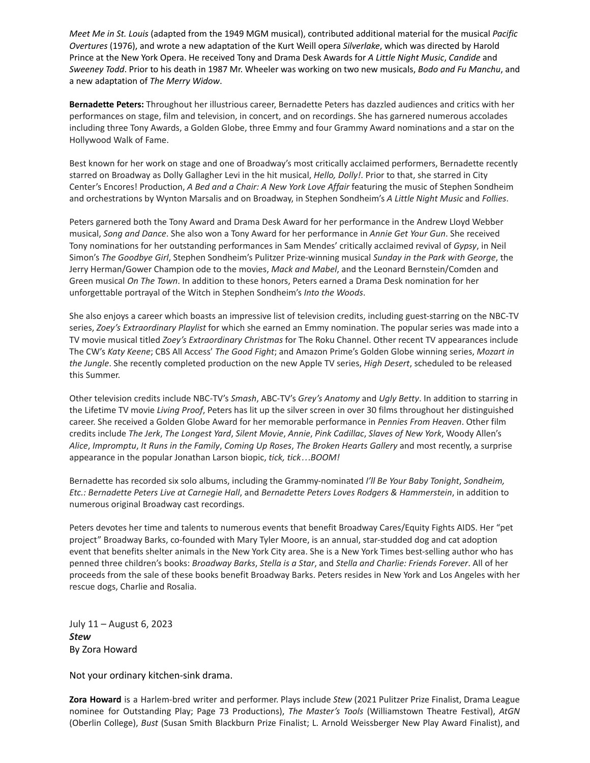*Meet Me in St. Louis* (adapted from the 1949 MGM musical), contributed additional material for the musical *Pacific Overtures* (1976), and wrote a new adaptation of the Kurt Weill opera *Silverlake*, which was directed by Harold Prince at the New York Opera. He received Tony and Drama Desk Awards for *A Little Night Music*, *Candide* and *Sweeney Todd*. Prior to his death in 1987 Mr. Wheeler was working on two new musicals, *Bodo and Fu Manchu*, and a new adaptation of *The Merry Widow*.

**Bernadette Peters:** Throughout her illustrious career, Bernadette Peters has dazzled audiences and critics with her performances on stage, film and television, in concert, and on recordings. She has garnered numerous accolades including three Tony Awards, a Golden Globe, three Emmy and four Grammy Award nominations and a star on the Hollywood Walk of Fame.

Best known for her work on stage and one of Broadway's most critically acclaimed performers, Bernadette recently starred on Broadway as Dolly Gallagher Levi in the hit musical, *Hello, Dolly!*. Prior to that, she starred in City Center's Encores! Production, *A Bed and a Chair: A New York Love Affair* featuring the music of Stephen Sondheim and orchestrations by Wynton Marsalis and on Broadway, in Stephen Sondheim's *A Little Night Music* and *Follies*.

Peters garnered both the Tony Award and Drama Desk Award for her performance in the Andrew Lloyd Webber musical, *Song and Dance*. She also won a Tony Award for her performance in *Annie Get Your Gun*. She received Tony nominations for her outstanding performances in Sam Mendes' critically acclaimed revival of *Gypsy*, in Neil Simon's *The Goodbye Girl*, Stephen Sondheim's Pulitzer Prize-winning musical *Sunday in the Park with George*, the Jerry Herman/Gower Champion ode to the movies, *Mack and Mabel*, and the Leonard Bernstein/Comden and Green musical *On The Town*. In addition to these honors, Peters earned a Drama Desk nomination for her unforgettable portrayal of the Witch in Stephen Sondheim's *Into the Woods*.

She also enjoys a career which boasts an impressive list of television credits, including guest-starring on the NBC-TV series, *Zoey's Extraordinary Playlist* for which she earned an Emmy nomination. The popular series was made into a TV movie musical titled *Zoey's Extraordinary Christmas* for The Roku Channel. Other recent TV appearances include The CW's *Katy Keene*; CBS All Access' *The Good Fight*; and Amazon Prime's Golden Globe winning series, *Mozart in the Jungle*. She recently completed production on the new Apple TV series, *High Desert*, scheduled to be released this Summer.

Other television credits include NBC-TV's *Smash*, ABC-TV's *Grey's Anatomy* and *Ugly Betty*. In addition to starring in the Lifetime TV movie *Living Proof*, Peters has lit up the silver screen in over 30 films throughout her distinguished career. She received a Golden Globe Award for her memorable performance in *Pennies From Heaven*. Other film credits include *The Jerk*, *The Longest Yard*, *Silent Movie*, *Annie*, *Pink Cadillac*, *Slaves of New York*, Woody Allen's *Alice*, *Impromptu*, *It Runs in the Family*, *Coming Up Roses*, *The Broken Hearts Gallery* and most recently, a surprise appearance in the popular Jonathan Larson biopic, *tick, tick…BOOM!*

Bernadette has recorded six solo albums, including the Grammy-nominated *I'll Be Your Baby Tonight*, *Sondheim, Etc.: Bernadette Peters Live at Carnegie Hall*, and *Bernadette Peters Loves Rodgers & Hammerstein*, in addition to numerous original Broadway cast recordings.

Peters devotes her time and talents to numerous events that benefit Broadway Cares/Equity Fights AIDS. Her "pet project" Broadway Barks, co-founded with Mary Tyler Moore, is an annual, star-studded dog and cat adoption event that benefits shelter animals in the New York City area. She is a New York Times best-selling author who has penned three children's books: *Broadway Barks*, *Stella is a Star*, and *Stella and Charlie: Friends Forever*. All of her proceeds from the sale of these books benefit Broadway Barks. Peters resides in New York and Los Angeles with her rescue dogs, Charlie and Rosalia.

July 11 – August 6, 2023 *Stew* By Zora Howard

Not your ordinary kitchen-sink drama.

**Zora Howard** is a Harlem-bred writer and performer. Plays include *Stew* (2021 Pulitzer Prize Finalist, Drama League nominee for Outstanding Play; Page 73 Productions), *The Master's Tools* (Williamstown Theatre Festival), *AtGN* (Oberlin College), *Bust* (Susan Smith Blackburn Prize Finalist; L. Arnold Weissberger New Play Award Finalist), and